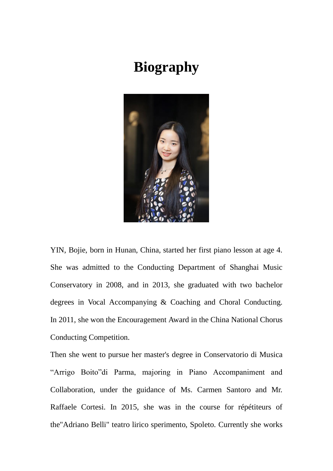## **Biography**



YIN, Bojie, born in Hunan, China, started her first piano lesson at age 4. She was admitted to the Conducting Department of Shanghai Music Conservatory in 2008, and in 2013, she graduated with two bachelor degrees in Vocal Accompanying & Coaching and Choral Conducting. In 2011, she won the Encouragement Award in the China National Chorus Conducting Competition.

Then she went to pursue her master's degree in Conservatorio di Musica "Arrigo Boito"di Parma, majoring in Piano Accompaniment and Collaboration, under the guidance of Ms. Carmen Santoro and Mr. Raffaele Cortesi. In 2015, she was in the course for répétiteurs of the"Adriano Belli" teatro lirico sperimento, Spoleto. Currently she works